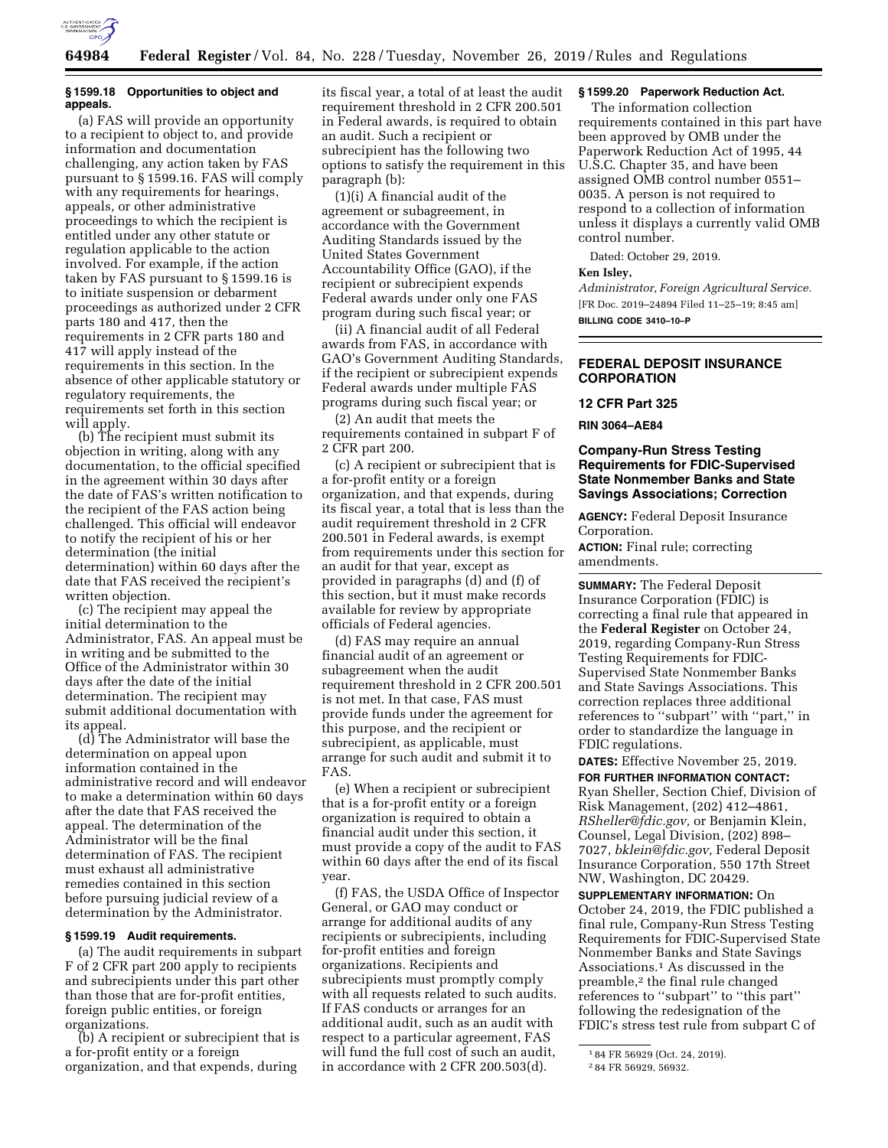

### **§ 1599.18 Opportunities to object and appeals.**

(a) FAS will provide an opportunity to a recipient to object to, and provide information and documentation challenging, any action taken by FAS pursuant to § 1599.16. FAS will comply with any requirements for hearings, appeals, or other administrative proceedings to which the recipient is entitled under any other statute or regulation applicable to the action involved. For example, if the action taken by FAS pursuant to § 1599.16 is to initiate suspension or debarment proceedings as authorized under 2 CFR parts 180 and 417, then the requirements in 2 CFR parts 180 and 417 will apply instead of the requirements in this section. In the absence of other applicable statutory or regulatory requirements, the requirements set forth in this section will apply.

(b) The recipient must submit its objection in writing, along with any documentation, to the official specified in the agreement within 30 days after the date of FAS's written notification to the recipient of the FAS action being challenged. This official will endeavor to notify the recipient of his or her determination (the initial determination) within 60 days after the date that FAS received the recipient's written objection.

(c) The recipient may appeal the initial determination to the Administrator, FAS. An appeal must be in writing and be submitted to the Office of the Administrator within 30 days after the date of the initial determination. The recipient may submit additional documentation with its appeal.

(d) The Administrator will base the determination on appeal upon information contained in the administrative record and will endeavor to make a determination within 60 days after the date that FAS received the appeal. The determination of the Administrator will be the final determination of FAS. The recipient must exhaust all administrative remedies contained in this section before pursuing judicial review of a determination by the Administrator.

#### **§ 1599.19 Audit requirements.**

(a) The audit requirements in subpart F of 2 CFR part 200 apply to recipients and subrecipients under this part other than those that are for-profit entities, foreign public entities, or foreign organizations.

(b) A recipient or subrecipient that is a for-profit entity or a foreign organization, and that expends, during

its fiscal year, a total of at least the audit requirement threshold in 2 CFR 200.501 in Federal awards, is required to obtain an audit. Such a recipient or subrecipient has the following two options to satisfy the requirement in this paragraph (b):

(1)(i) A financial audit of the agreement or subagreement, in accordance with the Government Auditing Standards issued by the United States Government Accountability Office (GAO), if the recipient or subrecipient expends Federal awards under only one FAS program during such fiscal year; or

(ii) A financial audit of all Federal awards from FAS, in accordance with GAO's Government Auditing Standards, if the recipient or subrecipient expends Federal awards under multiple FAS programs during such fiscal year; or

(2) An audit that meets the requirements contained in subpart F of 2 CFR part 200.

(c) A recipient or subrecipient that is a for-profit entity or a foreign organization, and that expends, during its fiscal year, a total that is less than the audit requirement threshold in 2 CFR 200.501 in Federal awards, is exempt from requirements under this section for an audit for that year, except as provided in paragraphs (d) and (f) of this section, but it must make records available for review by appropriate officials of Federal agencies.

(d) FAS may require an annual financial audit of an agreement or subagreement when the audit requirement threshold in 2 CFR 200.501 is not met. In that case, FAS must provide funds under the agreement for this purpose, and the recipient or subrecipient, as applicable, must arrange for such audit and submit it to FAS.

(e) When a recipient or subrecipient that is a for-profit entity or a foreign organization is required to obtain a financial audit under this section, it must provide a copy of the audit to FAS within 60 days after the end of its fiscal year.

(f) FAS, the USDA Office of Inspector General, or GAO may conduct or arrange for additional audits of any recipients or subrecipients, including for-profit entities and foreign organizations. Recipients and subrecipients must promptly comply with all requests related to such audits. If FAS conducts or arranges for an additional audit, such as an audit with respect to a particular agreement, FAS will fund the full cost of such an audit, in accordance with 2 CFR 200.503(d).

# **§ 1599.20 Paperwork Reduction Act.**

The information collection requirements contained in this part have been approved by OMB under the Paperwork Reduction Act of 1995, 44 U.S.C. Chapter 35, and have been assigned OMB control number 0551– 0035. A person is not required to respond to a collection of information unless it displays a currently valid OMB control number.

Dated: October 29, 2019.

# **Ken Isley,**

*Administrator, Foreign Agricultural Service.*  [FR Doc. 2019–24894 Filed 11–25–19; 8:45 am] **BILLING CODE 3410–10–P** 

## **FEDERAL DEPOSIT INSURANCE CORPORATION**

### **12 CFR Part 325**

**RIN 3064–AE84** 

# **Company-Run Stress Testing Requirements for FDIC-Supervised State Nonmember Banks and State Savings Associations; Correction**

**AGENCY:** Federal Deposit Insurance Corporation.

**ACTION:** Final rule; correcting amendments.

**SUMMARY:** The Federal Deposit Insurance Corporation (FDIC) is correcting a final rule that appeared in the **Federal Register** on October 24, 2019, regarding Company-Run Stress Testing Requirements for FDIC-Supervised State Nonmember Banks and State Savings Associations. This correction replaces three additional references to ''subpart'' with ''part,'' in order to standardize the language in FDIC regulations.

**DATES:** Effective November 25, 2019. **FOR FURTHER INFORMATION CONTACT:**  Ryan Sheller, Section Chief, Division of Risk Management, (202) 412–4861, *[RSheller@fdic.gov,](mailto:RSheller@fdic.gov)* or Benjamin Klein, Counsel, Legal Division, (202) 898– 7027, *[bklein@fdic.gov,](mailto:bklein@fdic.gov)* Federal Deposit Insurance Corporation, 550 17th Street NW, Washington, DC 20429.

**SUPPLEMENTARY INFORMATION:** On October 24, 2019, the FDIC published a final rule, Company-Run Stress Testing Requirements for FDIC-Supervised State Nonmember Banks and State Savings Associations.1 As discussed in the preamble,2 the final rule changed references to ''subpart'' to ''this part'' following the redesignation of the FDIC's stress test rule from subpart C of

<sup>1</sup> 84 FR 56929 (Oct. 24, 2019).

<sup>2</sup> 84 FR 56929, 56932.